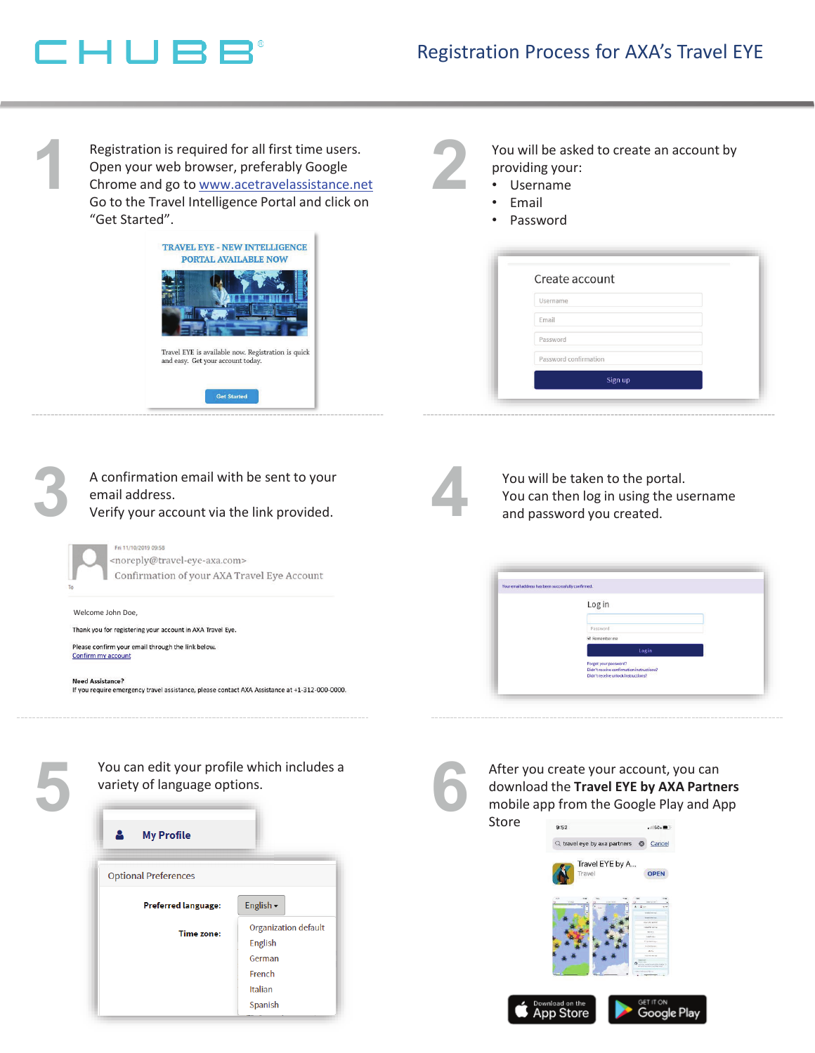## CHUBB

**1**

**3**

**5**

Registration is required for all first time users. Open your web browser, preferably Google Chrome and go to www.acetravelassistance.net Go to the Travel Intelligence Portal and click on "Get Started".



You will be asked to create an account by providing your:

- Username
- Email

**2**

• Password

| Create account        |         |  |
|-----------------------|---------|--|
| Username              |         |  |
| Email                 |         |  |
| Password              |         |  |
| Password confirmation |         |  |
|                       | Sign up |  |

| A confirmation email with be sent to your<br>email address.<br>Verify your account via the link provided.                                                                                                                                                                             | You will be taken to the portal.<br>You can then log in using the username<br>and password you created.                                                  |
|---------------------------------------------------------------------------------------------------------------------------------------------------------------------------------------------------------------------------------------------------------------------------------------|----------------------------------------------------------------------------------------------------------------------------------------------------------|
| Fri 11/10/2019 09:58<br><noreply@travel-eye-axa.com><br/>Confirmation of your AXA Travel Eye Account</noreply@travel-eye-axa.com>                                                                                                                                                     | Your email address has been successfully confirmed.                                                                                                      |
| Welcome John Doe,<br>Thank you for registering your account in AXA Travel Eye.<br>Please confirm your email through the link below.<br>Confirm my account<br><b>Need Assistance?</b><br>If you require emergency travel assistance, please contact AXA Assistance at +1-312-000-0000. | Log in<br>Password<br>Remember me<br>Log in<br>Forgot your password?<br>Didn't receive confirmation instructions?<br>Didn't receive unlock instructions) |
|                                                                                                                                                                                                                                                                                       |                                                                                                                                                          |

You can edit your profile which includes a variety of language options.

| <b>My Profile</b><br>м      |                             |  |  |
|-----------------------------|-----------------------------|--|--|
| <b>Optional Preferences</b> |                             |  |  |
| <b>Preferred language:</b>  | English -                   |  |  |
| <b>Time zone:</b>           | <b>Organization default</b> |  |  |
|                             | English                     |  |  |
|                             | German                      |  |  |
|                             | French                      |  |  |
|                             | <b>Italian</b>              |  |  |
|                             | Spanish                     |  |  |

an edit your profile which includes a<br>y of language options.<br>y of language options.<br>the mobile app from the Google Play and A download the **Travel EYE by AXA Partners**  mobile app from the Google Play and App



Google Play

**App Store**